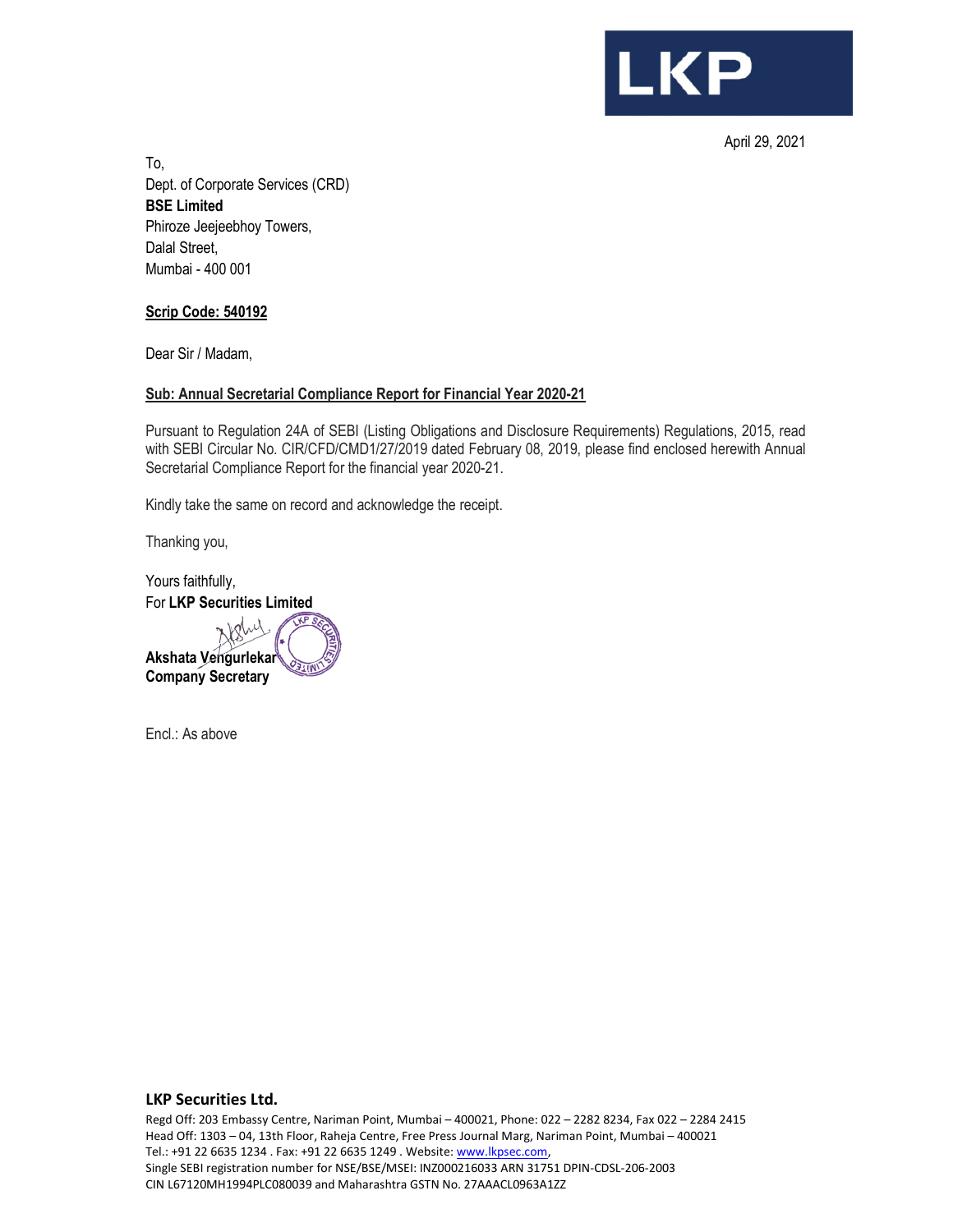

April 29, 2021

To, Dept. of Corporate Services (CRD) **BSE Limited**  Phiroze Jeejeebhoy Towers, Dalal Street, Mumbai - 400 001

## **Scrip Code: 540192**

Dear Sir / Madam,

## **Sub: Annual Secretarial Compliance Report for Financial Year 2020-21**

Pursuant to Regulation 24A of SEBI (Listing Obligations and Disclosure Requirements) Regulations, 2015, read with SEBI Circular No. CIR/CFD/CMD1/27/2019 dated February 08, 2019, please find enclosed herewith Annual Secretarial Compliance Report for the financial year 2020-21.

Kindly take the same on record and acknowledge the receipt.

Thanking you,

Yours faithfully, For **LKP Securities Limited** 

**Akshata Vengurlekar Company Secretary** 

Encl.: As above

#### **LKP Securities Ltd.**

Regd Off: 203 Embassy Centre, Nariman Point, Mumbai – 400021, Phone: 022 – 2282 8234, Fax 022 – 2284 2415 Head Off: 1303 – 04, 13th Floor, Raheja Centre, Free Press Journal Marg, Nariman Point, Mumbai – 400021 Tel.: +91 22 6635 1234 . Fax: +91 22 6635 1249 . Website: www.lkpsec.com, Single SEBI registration number for NSE/BSE/MSEI: INZ000216033 ARN 31751 DPIN-CDSL-206-2003 CIN L67120MH1994PLC080039 and Maharashtra GSTN No. 27AAACL0963A1ZZ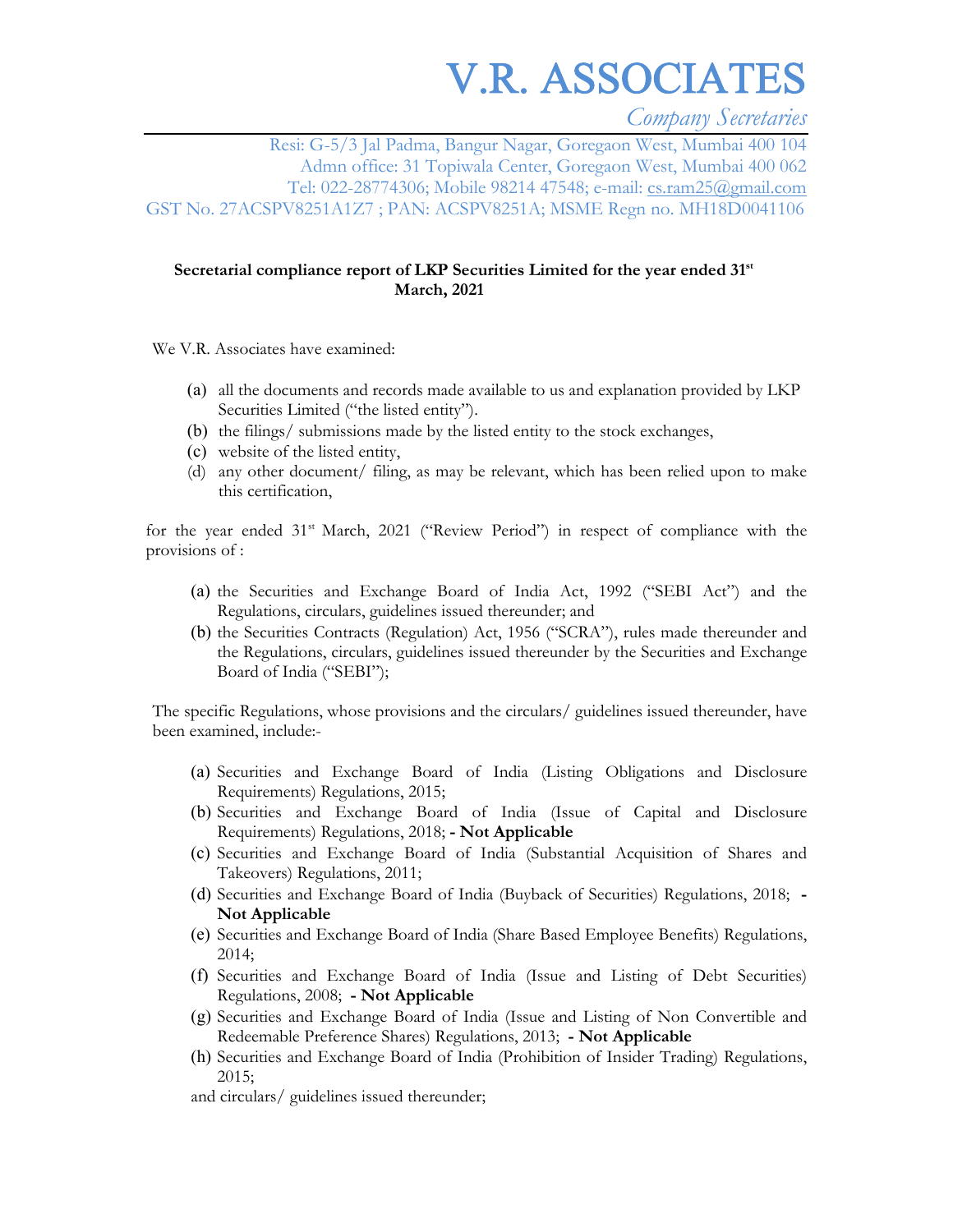V.R. ASSOCIATES

*Company Secretaries* 

Resi: G-5/3 Jal Padma, Bangur Nagar, Goregaon West, Mumbai 400 104 Admn office: 31 Topiwala Center, Goregaon West, Mumbai 400 062 Tel: 022-28774306; Mobile 98214 47548; e-mail: cs.ram25@gmail.com GST No. 27ACSPV8251A1Z7 ; PAN: ACSPV8251A; MSME Regn no. MH18D0041106

#### **Secretarial compliance report of LKP Securities Limited for the year ended 31st March, 2021**

We V.R. Associates have examined:

- (a) all the documents and records made available to us and explanation provided by LKP Securities Limited ("the listed entity").
- (b) the filings/ submissions made by the listed entity to the stock exchanges,
- (c) website of the listed entity,
- (d) any other document/ filing, as may be relevant, which has been relied upon to make this certification,

for the year ended  $31<sup>st</sup>$  March,  $2021$  ("Review Period") in respect of compliance with the provisions of :

- (a) the Securities and Exchange Board of India Act, 1992 ("SEBI Act") and the Regulations, circulars, guidelines issued thereunder; and
- (b) the Securities Contracts (Regulation) Act, 1956 ("SCRA"), rules made thereunder and the Regulations, circulars, guidelines issued thereunder by the Securities and Exchange Board of India ("SEBI");

The specific Regulations, whose provisions and the circulars/ guidelines issued thereunder, have been examined, include:-

- (a) Securities and Exchange Board of India (Listing Obligations and Disclosure Requirements) Regulations, 2015;
- (b) Securities and Exchange Board of India (Issue of Capital and Disclosure Requirements) Regulations, 2018; **- Not Applicable**
- (c) Securities and Exchange Board of India (Substantial Acquisition of Shares and Takeovers) Regulations, 2011;
- (d) Securities and Exchange Board of India (Buyback of Securities) Regulations, 2018;  **Not Applicable**
- (e) Securities and Exchange Board of India (Share Based Employee Benefits) Regulations, 2014;
- (f) Securities and Exchange Board of India (Issue and Listing of Debt Securities) Regulations, 2008; **- Not Applicable**
- (g) Securities and Exchange Board of India (Issue and Listing of Non Convertible and Redeemable Preference Shares) Regulations, 2013; **- Not Applicable**
- (h) Securities and Exchange Board of India (Prohibition of Insider Trading) Regulations, 2015;

and circulars/ guidelines issued thereunder;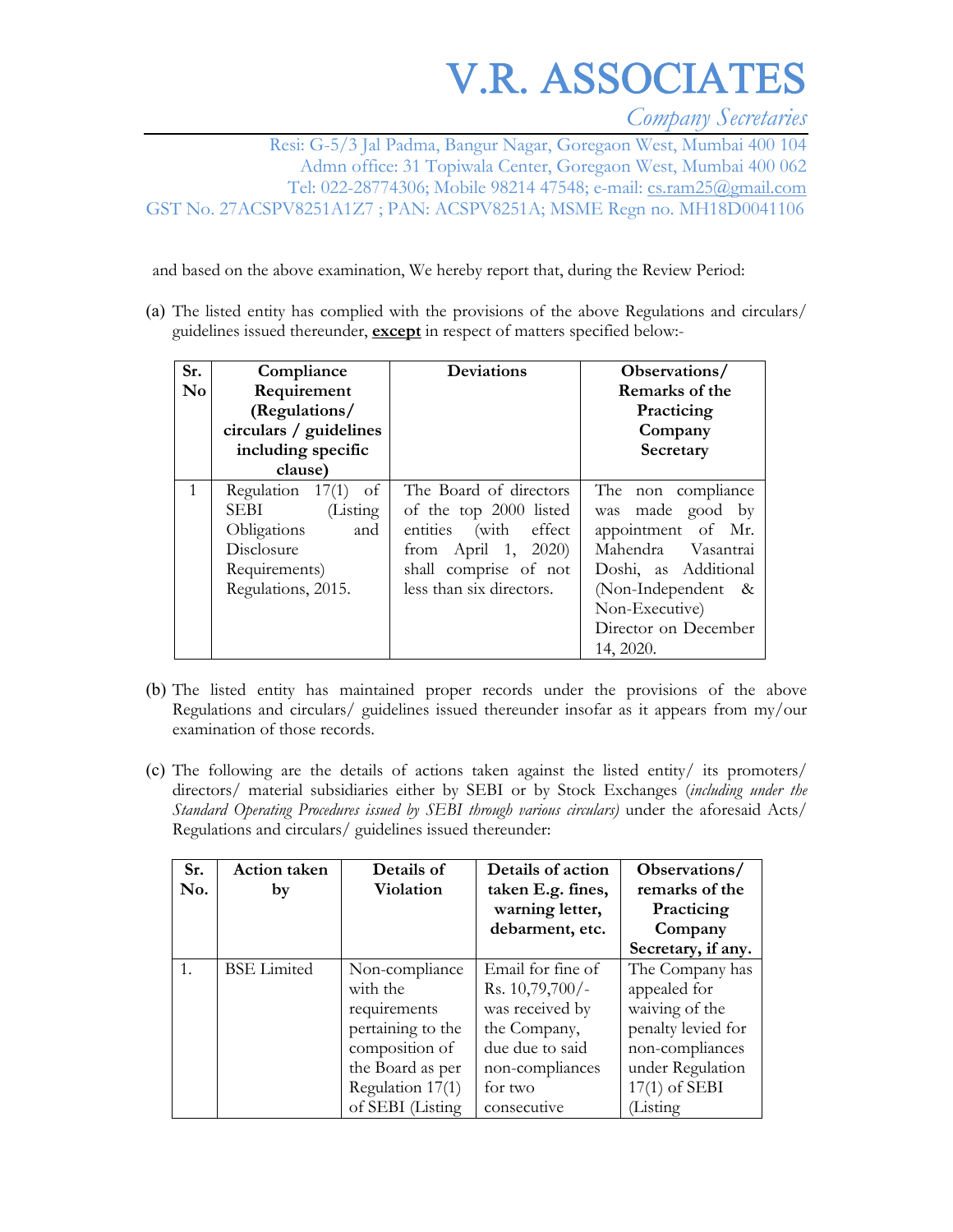# V.R. ASSOCIATES

*Company Secretaries* 

Resi: G-5/3 Jal Padma, Bangur Nagar, Goregaon West, Mumbai 400 104 Admn office: 31 Topiwala Center, Goregaon West, Mumbai 400 062 Tel: 022-28774306; Mobile 98214 47548; e-mail: cs.ram25@gmail.com GST No. 27ACSPV8251A1Z7 ; PAN: ACSPV8251A; MSME Regn no. MH18D0041106

and based on the above examination, We hereby report that, during the Review Period:

(a) The listed entity has complied with the provisions of the above Regulations and circulars/ guidelines issued thereunder, **except** in respect of matters specified below:-

| Sr.<br><b>No</b> | Compliance<br>Requirement<br>(Regulations/<br>circulars / guidelines<br>including specific<br>clause)                    | Deviations                                                                                                                                            | Observations/<br>Remarks of the<br>Practicing<br>Company<br>Secretary                                                                                                                      |
|------------------|--------------------------------------------------------------------------------------------------------------------------|-------------------------------------------------------------------------------------------------------------------------------------------------------|--------------------------------------------------------------------------------------------------------------------------------------------------------------------------------------------|
| $\mathbf{1}$     | Regulation $17(1)$<br>of<br>SEBI<br>(Listing)<br>Obligations<br>and<br>Disclosure<br>Requirements)<br>Regulations, 2015. | The Board of directors<br>of the top 2000 listed<br>entities (with effect<br>from April 1, 2020)<br>shall comprise of not<br>less than six directors. | The non compliance<br>was made good by<br>appointment of Mr.<br>Mahendra Vasantrai<br>Doshi, as Additional<br>(Non-Independent $\&$<br>Non-Executive)<br>Director on December<br>14, 2020. |

- (b) The listed entity has maintained proper records under the provisions of the above Regulations and circulars/ guidelines issued thereunder insofar as it appears from my/our examination of those records.
- (c) The following are the details of actions taken against the listed entity/ its promoters/ directors/ material subsidiaries either by SEBI or by Stock Exchanges (*including under the Standard Operating Procedures issued by SEBI through various circulars)* under the aforesaid Acts/ Regulations and circulars/ guidelines issued thereunder:

| Sr.<br>No. | <b>Action</b> taken<br>by | Details of<br>Violation | Details of action<br>taken E.g. fines, | Observations/<br>remarks of the |
|------------|---------------------------|-------------------------|----------------------------------------|---------------------------------|
|            |                           |                         | warning letter,                        | Practicing                      |
|            |                           |                         | debarment, etc.                        | Company                         |
|            |                           |                         |                                        | Secretary, if any.              |
|            | <b>BSE</b> Limited        | Non-compliance          | Email for fine of                      | The Company has                 |
|            |                           | with the                | Rs. $10,79,700/-$                      | appealed for                    |
|            |                           | requirements            | was received by                        | waiving of the                  |
|            |                           | pertaining to the       | the Company,                           | penalty levied for              |
|            |                           | composition of          | due due to said                        | non-compliances                 |
|            |                           | the Board as per        | non-compliances                        | under Regulation                |
|            |                           | Regulation 17(1)        | for two                                | $17(1)$ of SEBI                 |
|            |                           | of SEBI (Listing        | consecutive                            | Listing                         |